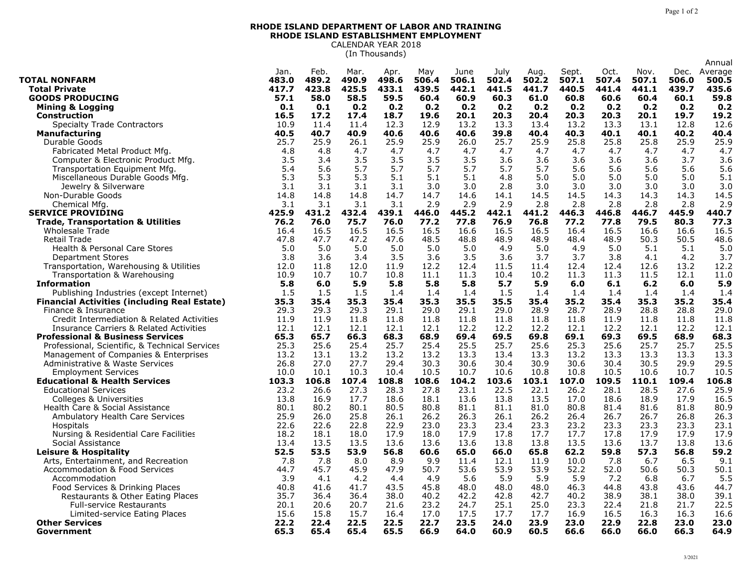## **RHODE ISLAND DEPARTMENT OF LABOR AND TRAINING RHODE ISLAND ESTABLISHMENT EMPLOYMENT** CALENDAR YEAR 2018

(In Thousands)

|                                                     |       |       |       |       |       |       |       |       |       |       |       |       | Annual  |
|-----------------------------------------------------|-------|-------|-------|-------|-------|-------|-------|-------|-------|-------|-------|-------|---------|
|                                                     | Jan.  | Feb.  | Mar.  | Apr.  | May   | June  | July  | Aug.  | Sept. | Oct.  | Nov.  | Dec.  | Average |
| <b>TOTAL NONFARM</b>                                | 483.0 | 489.2 | 490.9 | 498.6 | 506.4 | 506.1 | 502.4 | 502.2 | 507.1 | 507.4 | 507.1 | 506.0 | 500.5   |
| <b>Total Private</b>                                | 417.7 | 423.8 | 425.5 | 433.1 | 439.5 | 442.1 | 441.5 | 441.7 | 440.5 | 441.4 | 441.1 | 439.7 | 435.6   |
| <b>GOODS PRODUCING</b>                              | 57.1  | 58.0  | 58.5  | 59.5  | 60.4  | 60.9  | 60.3  | 61.0  | 60.8  | 60.6  | 60.4  | 60.1  | 59.8    |
| <b>Mining &amp; Logging</b>                         | 0.1   | 0.1   | 0.2   | 0.2   | 0.2   | 0.2   | 0.2   | 0.2   | 0.2   | 0.2   | 0.2   | 0.2   | 0.2     |
| <b>Construction</b>                                 | 16.5  | 17.2  | 17.4  | 18.7  | 19.6  | 20.1  | 20.3  | 20.4  | 20.3  | 20.3  | 20.1  | 19.7  | 19.2    |
| <b>Specialty Trade Contractors</b>                  | 10.9  | 11.4  | 11.4  | 12.3  | 12.9  | 13.2  | 13.3  | 13.4  | 13.2  | 13.3  | 13.1  | 12.8  | 12.6    |
| <b>Manufacturing</b>                                | 40.5  | 40.7  | 40.9  | 40.6  | 40.6  | 40.6  | 39.8  | 40.4  | 40.3  | 40.1  | 40.1  | 40.2  | 40.4    |
| Durable Goods                                       | 25.7  | 25.9  | 26.1  | 25.9  | 25.9  | 26.0  | 25.7  | 25.9  | 25.8  | 25.8  | 25.8  | 25.9  | 25.9    |
| Fabricated Metal Product Mfg.                       | 4.8   | 4.8   | 4.7   | 4.7   | 4.7   | 4.7   | 4.7   | 4.7   | 4.7   | 4.7   | 4.7   | 4.7   | 4.7     |
| Computer & Electronic Product Mfg.                  | 3.5   | 3.4   | 3.5   | 3.5   | 3.5   | 3.5   | 3.6   | 3.6   | 3.6   | 3.6   | 3.6   | 3.7   | 3.6     |
| Transportation Equipment Mfg                        | 5.4   | 5.6   | 5.7   | 5.7   | 5.7   | 5.7   | 5.7   | 5.7   | 5.6   | 5.6   | 5.6   | 5.6   | 5.6     |
| Miscellaneous Durable Goods Mfg.                    | 5.3   | 5.3   | 5.3   | 5.1   | 5.1   | 5.1   | 4.8   | 5.0   | 5.0   | 5.0   | 5.0   | 5.0   | 5.1     |
| Jewelry & Silverware                                | 3.1   | 3.1   | 3.1   | 3.1   | 3.0   | 3.0   | 2.8   | 3.0   | 3.0   | 3.0   | 3.0   | 3.0   | 3.0     |
| Non-Durable Goods                                   | 14.8  | 14.8  | 14.8  | 14.7  | 14.7  | 14.6  | 14.1  | 14.5  | 14.5  | 14.3  | 14.3  | 14.3  | 14.5    |
| Chemical Mfg                                        | 3.1   | 3.1   | 3.1   | 3.1   | 2.9   | 2.9   | 2.9   | 2.8   | 2.8   | 2.8   | 2.8   | 2.8   | 2.9     |
| <b>SERVICE PROVIDING</b>                            | 425.9 | 431.2 | 432.4 | 439.1 | 446.0 | 445.2 | 442.1 | 441.2 | 446.3 | 446.8 | 446.7 | 445.9 | 440.7   |
| <b>Trade, Transportation &amp; Utilities</b>        | 76.2  | 76.0  | 75.7  | 76.0  | 77.2  | 77.8  | 76.9  | 76.8  | 77.2  | 77.8  | 79.5  | 80.3  | 77.3    |
|                                                     |       |       |       |       |       |       |       |       |       |       |       |       |         |
| Wholesale Trade                                     | 16.4  | 16.5  | 16.5  | 16.5  | 16.5  | 16.6  | 16.5  | 16.5  | 16.4  | 16.5  | 16.6  | 16.6  | 16.5    |
| Retail Trade                                        | 47.8  | 47.7  | 47.2  | 47.6  | 48.5  | 48.8  | 48.9  | 48.9  | 48.4  | 48.9  | 50.3  | 50.5  | 48.6    |
| <b>Health &amp; Personal Care Stores</b>            | 5.0   | 5.0   | 5.0   | 5.0   | 5.0   | 5.0   | 4.9   | 5.0   | 4.9   | 5.0   | 5.1   | 5.1   | 5.0     |
| <b>Department Stores</b>                            | 3.8   | 3.6   | 3.4   | 3.5   | 3.6   | 3.5   | 3.6   | 3.7   | 3.7   | 3.8   | 4.1   | 4.2   | 3.7     |
| Transportation, Warehousing & Utilities             | 12.0  | 11.8  | 12.0  | 11.9  | 12.2  | 12.4  | 11.5  | 11.4  | 12.4  | 12.4  | 12.6  | 13.2  | 12.2    |
| Transportation & Warehousing                        | 10.9  | 10.7  | 10.7  | 10.8  | 11.1  | 11.3  | 10.4  | 10.2  | 11.3  | 11.3  | 11.5  | 12.1  | 11.0    |
| <b>Information</b>                                  | 5.8   | 6.0   | 5.9   | 5.8   | 5.8   | 5.8   | 5.7   | 5.9   | 6.0   | 6.1   | 6.2   | 6.0   | 5.9     |
| Publishing Industries (except Internet)             | 1.5   | 1.5   | 1.5   | 1.4   | 1.4   | 1.4   | 1.5   | 1.4   | 1.4   | 1.4   | 1.4   | 1.4   | 1.4     |
| <b>Financial Activities (including Real Estate)</b> | 35.3  | 35.4  | 35.3  | 35.4  | 35.3  | 35.5  | 35.5  | 35.4  | 35.2  | 35.4  | 35.3  | 35.2  | 35.4    |
| Finance & Insurance                                 | 29.3  | 29.3  | 29.3  | 29.1  | 29.0  | 29.1  | 29.0  | 28.9  | 28.7  | 28.9  | 28.8  | 28.8  | 29.0    |
| Credit Intermediation & Related Activities          | 11.9  | 11.9  | 11.8  | 11.8  | 11.8  | 11.8  | 11.8  | 11.8  | 11.8  | 11.9  | 11.8  | 11.8  | 11.8    |
| Insurance Carriers & Related Activities             | 12.1  | 12.1  | 12.1  | 12.1  | 12.1  | 12.2  | 12.2  | 12.2  | 12.1  | 12.2  | 12.1  | 12.2  | 12.1    |
| <b>Professional &amp; Business Services</b>         | 65.3  | 65.7  | 66.3  | 68.3  | 68.9  | 69.4  | 69.5  | 69.8  | 69.1  | 69.3  | 69.5  | 68.9  | 68.3    |
| Professional, Scientific, & Technical Services      | 25.3  | 25.6  | 25.4  | 25.7  | 25.4  | 25.5  | 25.7  | 25.6  | 25.3  | 25.6  | 25.7  | 25.7  | 25.5    |
| Management of Companies & Enterprises               | 13.2  | 13.1  | 13.2  | 13.2  | 13.2  | 13.3  | 13.4  | 13.3  | 13.2  | 13.3  | 13.3  | 13.3  | 13.3    |
| Administrative & Waste Services                     | 26.8  | 27.0  | 27.7  | 29.4  | 30.3  | 30.6  | 30.4  | 30.9  | 30.6  | 30.4  | 30.5  | 29.9  | 29.5    |
| <b>Employment Services</b>                          | 10.0  | 10.1  | 10.3  | 10.4  | 10.5  | 10.7  | 10.6  | 10.8  | 10.8  | 10.5  | 10.6  | 10.7  | 10.5    |
| <b>Educational &amp; Health Services</b>            | 103.3 | 106.8 | 107.4 | 108.8 | 108.6 | 104.2 | 103.6 | 103.1 | 107.0 | 109.5 | 110.1 | 109.4 | 106.8   |
| <b>Educational Services</b>                         | 23.2  | 26.6  | 27.3  | 28.3  | 27.8  | 23.1  | 22.5  | 22.1  | 26.2  | 28.1  | 28.5  | 27.6  | 25.9    |
| Colleges & Universities                             | 13.8  | 16.9  | 17.7  | 18.6  | 18.1  | 13.6  | 13.8  | 13.5  | 17.0  | 18.6  | 18.9  | 17.9  | 16.5    |
| Health Care & Social Assistance                     | 80.1  | 80.2  | 80.1  | 80.5  | 80.8  | 81.1  | 81.1  | 81.0  | 80.8  | 81.4  | 81.6  | 81.8  | 80.9    |
| Ambulatory Health Care Services                     | 25.9  | 26.0  | 25.8  | 26.1  | 26.2  | 26.3  | 26.1  | 26.2  | 26.4  | 26.7  | 26.7  | 26.8  | 26.3    |
| Hospitals                                           | 22.6  | 22.6  | 22.8  | 22.9  | 23.0  | 23.3  | 23.4  | 23.3  | 23.2  | 23.3  | 23.3  | 23.3  | 23.1    |
| Nursing & Residential Care Facilities               | 18.2  | 18.1  | 18.0  | 17.9  | 18.0  | 17.9  | 17.8  | 17.7  | 17.7  | 17.8  | 17.9  | 17.9  | 17.9    |
| Social Assistance                                   | 13.4  | 13.5  | 13.5  | 13.6  | 13.6  | 13.6  | 13.8  | 13.8  | 13.5  | 13.6  | 13.7  | 13.8  | 13.6    |
| <b>Leisure &amp; Hospitality</b>                    | 52.5  | 53.5  | 53.9  | 56.8  | 60.6  | 65.0  | 66.0  | 65.8  | 62.2  | 59.8  | 57.3  | 56.8  | 59.2    |
| Arts, Entertainment, and Recreation                 | 7.8   | 7.8   | 8.0   | 8.9   | 9.9   | 11.4  | 12.1  | 11.9  | 10.0  | 7.8   | 6.7   | 6.5   | 9.1     |
| <b>Accommodation &amp; Food Services</b>            | 44.7  | 45.7  | 45.9  | 47.9  | 50.7  | 53.6  | 53.9  | 53.9  | 52.2  | 52.0  | 50.6  | 50.3  | 50.1    |
| Accommodation                                       | 3.9   | 4.1   | 4.2   | 4.4   | 4.9   | 5.6   | 5.9   | 5.9   | 5.9   | 7.2   | 6.8   | 6.7   | 5.5     |
| Food Services & Drinking Places                     | 40.8  | 41.6  | 41.7  | 43.5  | 45.8  | 48.0  | 48.0  | 48.0  | 46.3  | 44.8  | 43.8  | 43.6  | 44.7    |
|                                                     |       |       | 36.4  | 38.0  |       | 42.2  | 42.8  |       | 40.2  | 38.9  | 38.1  | 38.0  | 39.1    |
| Restaurants & Other Eating Places                   | 35.7  | 36.4  |       |       | 40.2  |       |       | 42.7  |       |       |       |       |         |
| <b>Full-service Restaurants</b>                     | 20.1  | 20.6  | 20.7  | 21.6  | 23.2  | 24.7  | 25.1  | 25.0  | 23.3  | 22.4  | 21.8  | 21.7  | 22.5    |
| Limited-service Eating Places                       | 15.6  | 15.8  | 15.7  | 16.4  | 17.0  | 17.5  | 17.7  | 17.7  | 16.9  | 16.5  | 16.3  | 16.3  | 16.6    |
| <b>Other Services</b>                               | 22.2  | 22.4  | 22.5  | 22.5  | 22.7  | 23.5  | 24.0  | 23.9  | 23.0  | 22.9  | 22.8  | 23.0  | 23.0    |
| Government                                          | 65.3  | 65.4  | 65.4  | 65.5  | 66.9  | 64.0  | 60.9  | 60.5  | 66.6  | 66.0  | 66.0  | 66.3  | 64.9    |